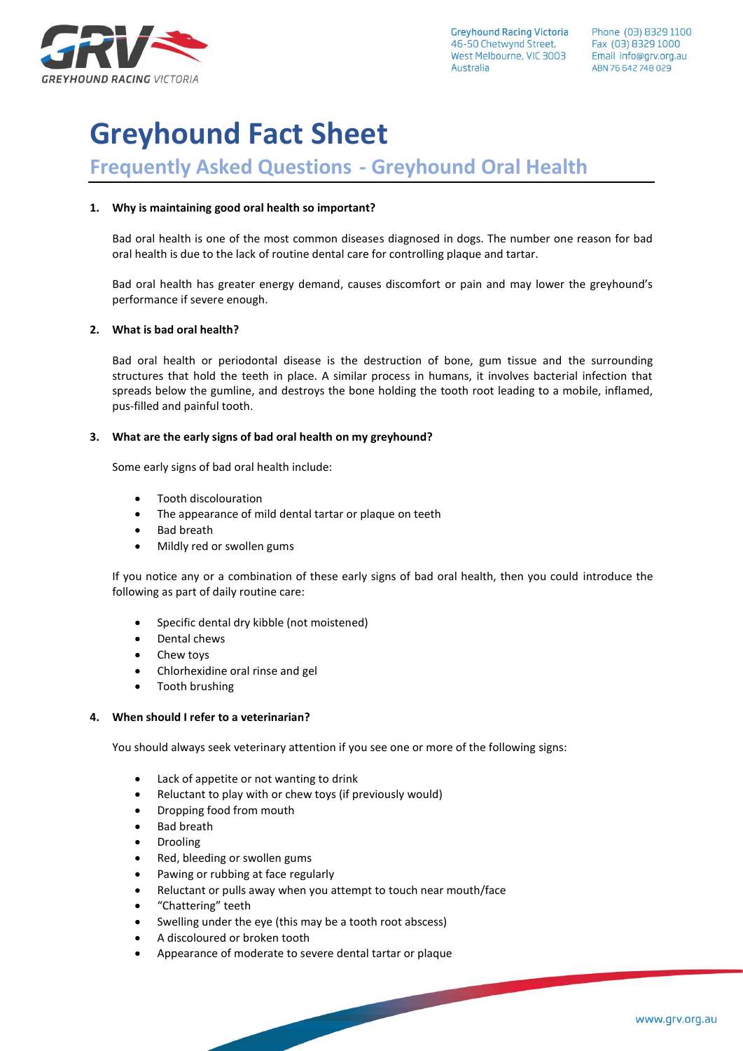

**Greyhound Racing Victoria** 46-50 Chetwynd Street, West Melbourne, VIC 3003 Australia

# **Greyhound Fact Sheet**

# **Frequently Asked Questions - Greyhound Oral Health**

### **1. Why is maintaining good oral health so important?**

Bad oral health is one of the most common diseases diagnosed in dogs. The number one reason for bad oral health is due to the lack of routine dental care for controlling plaque and tartar.

Bad oral health has greater energy demand, causes discomfort or pain and may lower the greyhound's performance if severe enough.

### **2. What is bad oral health?**

Bad oral health or periodontal disease is the destruction of bone, gum tissue and the surrounding structures that hold the teeth in place. A similar process in humans, it involves bacterial infection that spreads below the gumline, and destroys the bone holding the tooth root leading to a mobile, inflamed, pus-filled and painful tooth.

### **3. What are the early signs of bad oral health on my greyhound?**

Some early signs of bad oral health include:

- Tooth discolouration
- The appearance of mild dental tartar or plaque on teeth
- Bad breath
- Mildly red or swollen gums

If you notice any or a combination of these early signs of bad oral health, then you could introduce the following as part of daily routine care:

- Specific dental dry kibble (not moistened)
- Dental chews
- Chew toys
- Chlorhexidine oral rinse and gel
- Tooth brushing

## **4. When should I refer to a veterinarian?**

You should always seek veterinary attention if you see one or more of the following signs:

- Lack of appetite or not wanting to drink
- Reluctant to play with or chew toys (if previously would)
- Dropping food from mouth
- **Bad breath**
- **Drooling**
- Red, bleeding or swollen gums
- Pawing or rubbing at face regularly
- Reluctant or pulls away when you attempt to touch near mouth/face

- "Chattering" teeth
- Swelling under the eye (this may be a tooth root abscess)
- A discoloured or broken tooth
- Appearance of moderate to severe dental tartar or plaque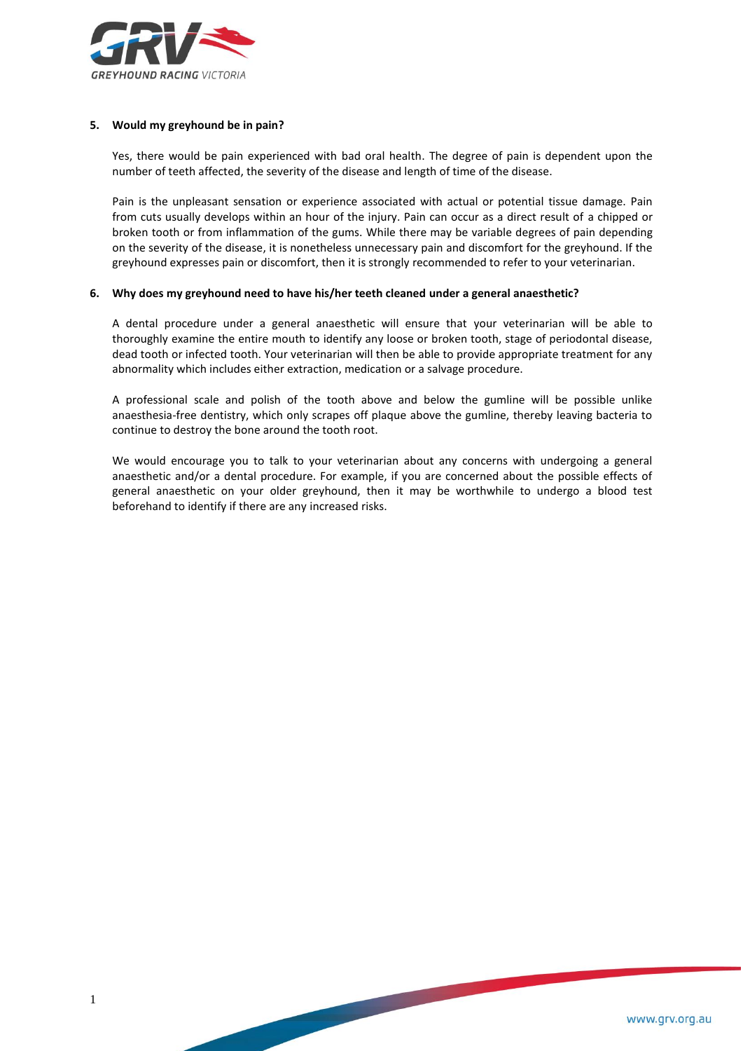

#### **5. Would my greyhound be in pain?**

Yes, there would be pain experienced with bad oral health. The degree of pain is dependent upon the number of teeth affected, the severity of the disease and length of time of the disease.

Pain is the unpleasant sensation or experience associated with actual or potential tissue damage. Pain from cuts usually develops within an hour of the injury. Pain can occur as a direct result of a chipped or broken tooth or from inflammation of the gums. While there may be variable degrees of pain depending on the severity of the disease, it is nonetheless unnecessary pain and discomfort for the greyhound. If the greyhound expresses pain or discomfort, then it is strongly recommended to refer to your veterinarian.

#### **6. Why does my greyhound need to have his/her teeth cleaned under a general anaesthetic?**

A dental procedure under a general anaesthetic will ensure that your veterinarian will be able to thoroughly examine the entire mouth to identify any loose or broken tooth, stage of periodontal disease, dead tooth or infected tooth. Your veterinarian will then be able to provide appropriate treatment for any abnormality which includes either extraction, medication or a salvage procedure.

A professional scale and polish of the tooth above and below the gumline will be possible unlike anaesthesia-free dentistry, which only scrapes off plaque above the gumline, thereby leaving bacteria to continue to destroy the bone around the tooth root.

We would encourage you to talk to your veterinarian about any concerns with undergoing a general anaesthetic and/or a dental procedure. For example, if you are concerned about the possible effects of general anaesthetic on your older greyhound, then it may be worthwhile to undergo a blood test beforehand to identify if there are any increased risks.